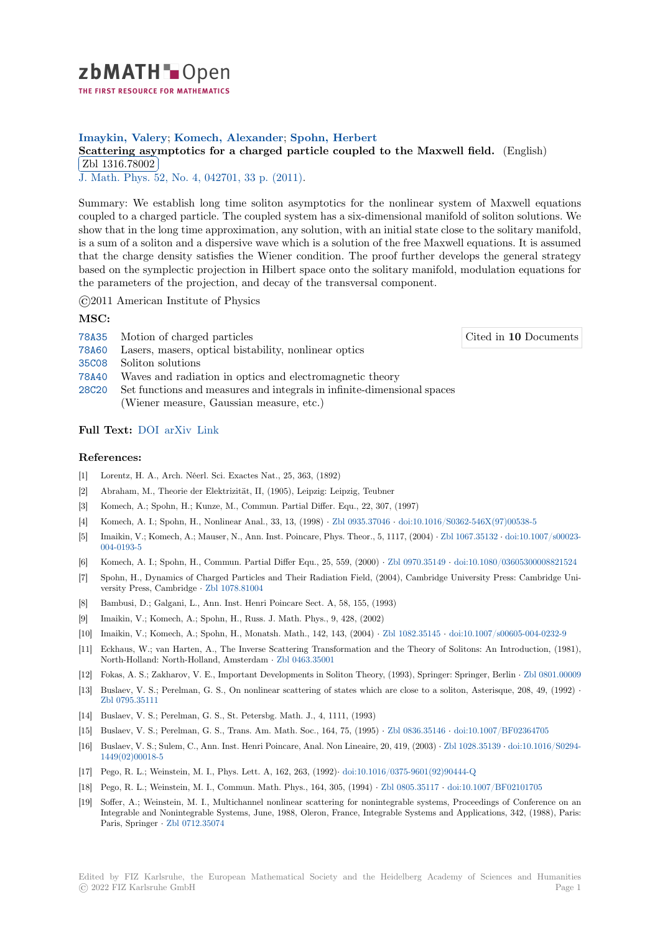

## **Imaykin, Valery**; **Komech, Alexander**; **Spohn, Herbert**

## **[S](https://zbmath.org/)cattering asymptotics for a charged particle coupled to the Maxwell field.** (English) Zbl 1316.78002

✂ ✁ J. Math. Phys. 52, No. 4, 042701, 33 p. (2011).

[Summary: We establish long time soliton asymptotics for the nonlinear system of M](https://zbmath.org/1316.78002)axwell equations [coupled to a charg](https://zbmath.org/1316.78002)ed particle. The coupled system has a six-dimensional manifold of soliton solutions. We [show that in th](https://zbmath.org/journals/?q=se:134)[e long time approximation, any s](https://zbmath.org/?q=in:346403)olution, with an initial state close to the solitary manifold, is a sum of a soliton and a dispersive wave which is a solution of the free Maxwell equations. It is assumed that the charge density satisfies the Wiener condition. The proof further develops the general strategy based on the symplectic projection in Hilbert space onto the solitary manifold, modulation equations for the parameters of the projection, and decay of the transversal component.

©2011 American Institute of Physics

**MSC:**

- 78A35 Motion of charged particles
- 78A60 Lasers, masers, optical bistability, nonlinear optics
- 35C08 Soliton solutions
- 78A40 Waves and radiation in optics and electromagnetic theory
- [28C20](https://zbmath.org/classification/?q=cc:78A35) Set functions and measures and integrals in infinite-dimensional spaces (Wiener measure, Gaussian measure, etc.)

## **[Full T](https://zbmath.org/classification/?q=cc:78A40)ext:** DOI arXiv Link

## **References:**

- [1] Lorentz, H. A., Arch. Néerl. Sci. Exactes Nat., 25, 363, (1892)
- [2] Abraham[, M.,](https://dx.doi.org/10.1063/1.3567957)[T](https://dx.doi.org/10.1063/1.3567957)[heorie d](https://arxiv.org/abs/0807.1972)[er Elek](https://semanticscholar.org/paper/37e36bd48550e4fad266e0faf6ff9e39c9815312)trizität, II, (1905), Leipzig: Leipzig, Teubner
- [3] Komech, A.; Spohn, H.; Kunze, M., Commun. Partial Differ. Equ., 22, 307, (1997)
- [4] Komech, A. I.; Spohn, H., Nonlinear Anal., 33, 13, (1998) *·* Zbl 0935.37046 *·* doi:10.1016/S0362-546X(97)00538-5
- [5] Imaikin, V.; Komech, A.; Mauser, N., Ann. Inst. Poincare, Phys. Theor., 5, 1117, (2004) *·* Zbl 1067.35132 *·* doi:10.1007/s00023- 004-0193-5
- [6] Komech, A. I.; Spohn, H., Commun. Partial Differ Equ., 25, 559, (2000) *·* Zbl 0970.35149 *·* doi:10.1080/03605300008821524
- [7] Spohn, H., Dynamics of Charged Particles and Their Radia[tion Field, \(200](https://zbmath.org/0935.37046)4[\), Cambridge University Press: Cam](https://dx.doi.org/10.1016/S0362-546X(97)00538-5)bridge University Press, Cambridge *·* Zbl 1078.81004
- [8] [Bambusi, D](https://dx.doi.org/10.1007/s00023-004-0193-5).; Galgani, L., Ann. Inst. Henri Poincare Sect. A, 58, 155, (1993)
- [9] Imaikin, V.; Komech, A.; Spohn, H., Russ. J. Math. Phys., 9, 428, (2002)
- [10] Imaikin, V.; Komech, A.; Spohn, H., Monatsh. Math., 142, 143, (2004) *·* Zbl 1082.35145 *·* doi:10.1007/s00605-004-0232-9
- [11] Eckhaus, W.; van Harten, [A., The Inverse](https://zbmath.org/1078.81004) Scattering Transformation and the Theory of Solitons: An Introduction, (1981), North-Holland: North-Holland, Amsterdam *·* Zbl 0463.35001
- [12] Fokas, A. S.; Zakharov, V. E., Important Developments in Soliton Theory, (1993), Springer: Springer, Berlin *·* Zbl 0801.00009
- [13] Buslaev, V. S.; Perelman, G. S., On nonlinear scattering of states which [are close to a s](https://zbmath.org/1082.35145)o[liton, Asterisque, 208, 49, \(199](https://dx.doi.org/10.1007/s00605-004-0232-9)2) *·* Zbl 0795.35111
- [14] Buslaev, V. S.; Perelman, G. S., St. Petersbg. [Math. J., 4, 11](https://zbmath.org/0463.35001)11, (1993)
- [15] Buslaev, V. S.; Perelman, G. S., Trans. Am. Math. Soc., 164, 75, (1995) *·* Zbl 0836.35146 *·* doi:10.1007/BF02[364705](https://zbmath.org/0801.00009)
- [16] Buslaev, V. S.; Sulem, C., Ann. Inst. Henri Poincare, Anal. Non Lineaire, 20, 419, (2003) *·* Zbl 1028.35139 *·* doi:10.1016/S0294- [1449\(02\)00018-](https://zbmath.org/0795.35111)5
- [17] Pego, R. L.; Weinstein, M. I., Phys. Lett. A, 162, 263, (1992)*·* doi:10.1016/0375-9601(92)90444-Q
- [18] Pego, R. L.; Weinstein, M. I., Commun. Math. Phys., 164, 305, (1994) *·* Z[bl 0805.35117](https://zbmath.org/0836.35146) *·* d[oi:10.1007/BF02101705](https://dx.doi.org/10.1007/BF02364705)
- [19] Soffer, A.; Weinstein, M. I., Multichannel nonlinear scattering for nonintegrable syste[ms, Proceedings](https://zbmath.org/1028.35139)o[f Conference on an](https://dx.doi.org/10.1016/S0294-1449(02)00018-5) [Integrable and N](https://dx.doi.org/10.1016/S0294-1449(02)00018-5)onintegrable Systems, June, 1988, Oleron, France, Integrable Systems and Applications, 342, (1988), Paris: Paris, Springer *·* Zbl 0712.35074

Cited in **10** Documents